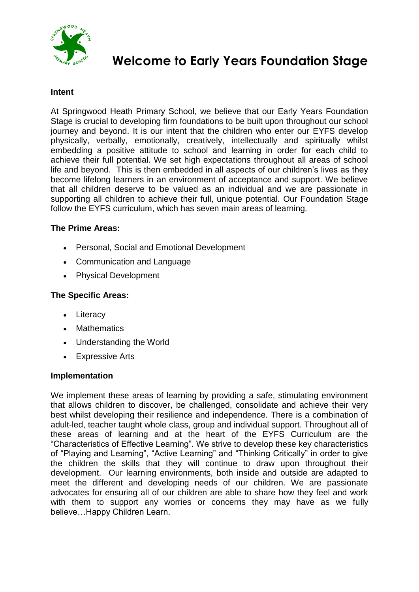

# **Welcome to Early Years Foundation Stage**

#### **Intent**

At Springwood Heath Primary School, we believe that our Early Years Foundation Stage is crucial to developing firm foundations to be built upon throughout our school journey and beyond. It is our intent that the children who enter our EYFS develop physically, verbally, emotionally, creatively, intellectually and spiritually whilst embedding a positive attitude to school and learning in order for each child to achieve their full potential. We set high expectations throughout all areas of school life and beyond. This is then embedded in all aspects of our children"s lives as they become lifelong learners in an environment of acceptance and support. We believe that all children deserve to be valued as an individual and we are passionate in supporting all children to achieve their full, unique potential. Our Foundation Stage follow the EYFS curriculum, which has seven main areas of learning.

### **The Prime Areas:**

- Personal, Social and Emotional Development
- Communication and Language
- Physical Development

## **The Specific Areas:**

- Literacy
- Mathematics
- Understanding the World
- Expressive Arts

#### **Implementation**

We implement these areas of learning by providing a safe, stimulating environment that allows children to discover, be challenged, consolidate and achieve their very best whilst developing their resilience and independence. There is a combination of adult-led, teacher taught whole class, group and individual support. Throughout all of these areas of learning and at the heart of the EYFS Curriculum are the "Characteristics of Effective Learning". We strive to develop these key characteristics of "Playing and Learning", "Active Learning" and "Thinking Critically" in order to give the children the skills that they will continue to draw upon throughout their development. Our learning environments, both inside and outside are adapted to meet the different and developing needs of our children. We are passionate advocates for ensuring all of our children are able to share how they feel and work with them to support any worries or concerns they may have as we fully believe…Happy Children Learn.